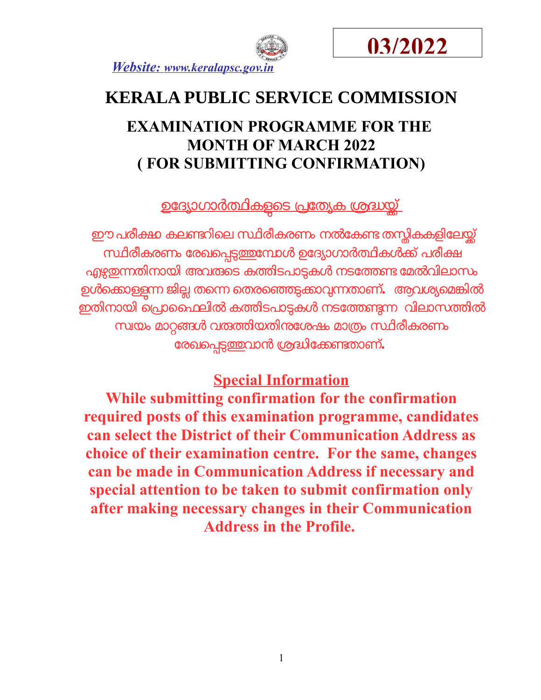



# **KERALA PUBLIC SERVICE COMMISSION**

## **EXAMINATION PROGRAMME FOR THE MONTH OF MARCH 2022 ( FOR SUBMITTING CONFIRMATION)**

<u>ഉദ്യോഗാർത്ഥികളുടെ പ്രത്യേക ശ്രദ്ധയ്ക്</u>

ഈ പരീക്ഷ കലണ്ടറിലെ സ്ഥിരീകരണം നൽകേണ്ട തന്<del>തി</del>കകളിലേയ്ക്ക് സ്ഥിരീകരണം രേഖപ്പെടുത്തുമ്പോൾ ഉദ്യോഗാർത്ഥികൾക്ക് പരീക്ഷ എഴുതന്നതിനായി അവരുടെ കത്തിടപാടുകൾ നടത്തേണ്ട മേൽവിലാസം ഉൾക്കൊള്ളന്ന ജില്ല തന്നെ തെരഞ്ഞെടുക്കാവുന്നതാണ്**.** ആവശ്യമെങ്കിൽ ഇതിനോയി െപോൈഫലിൽ കതിടപോടകൾ നടോതണന വിലോസതിൽ സ്വയം മാറ്റങ്ങൾ വരുത്തിയതിന**േ**ശഷം മാത്രം സ്ഥിരീകരണം ോരഖെപടതവോൻ ശദിോകണതോണ്**.** 

### **Special Information**

**While submitting confirmation for the confirmation required posts of this examination programme, candidates can select the District of their Communication Address as choice of their examination centre. For the same, changes can be made in Communication Address if necessary and special attention to be taken to submit confirmation only after making necessary changes in their Communication Address in the Profile.**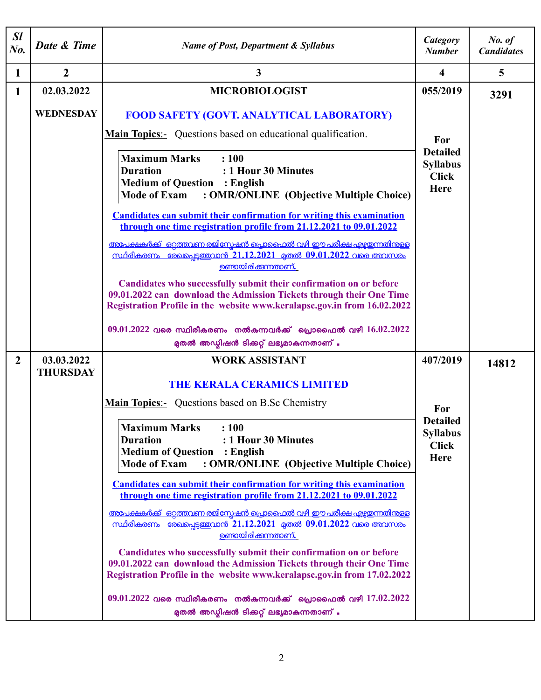| $\mathcal{S}l$<br>$N_{0}$ . | Date & Time                   | <b>Name of Post, Department &amp; Syllabus</b>                                                                                                                                                                                                                                                                                            | Category<br><b>Number</b>                                                | No. of<br><b>Candidates</b> |
|-----------------------------|-------------------------------|-------------------------------------------------------------------------------------------------------------------------------------------------------------------------------------------------------------------------------------------------------------------------------------------------------------------------------------------|--------------------------------------------------------------------------|-----------------------------|
| 1                           | $\overline{2}$                | 3                                                                                                                                                                                                                                                                                                                                         | $\overline{\mathbf{4}}$                                                  | 5                           |
| $\mathbf{1}$                | 02.03.2022                    | <b>MICROBIOLOGIST</b>                                                                                                                                                                                                                                                                                                                     | 055/2019                                                                 | 3291                        |
|                             | <b>WEDNESDAY</b>              | <b>FOOD SAFETY (GOVT. ANALYTICAL LABORATORY)</b>                                                                                                                                                                                                                                                                                          |                                                                          |                             |
|                             |                               | <b>Main Topics:-</b> Questions based on educational qualification.<br><b>Maximum Marks</b><br>: 100<br><b>Duration</b><br>: 1 Hour 30 Minutes<br><b>Medium of Question : English</b><br><b>Mode of Exam</b><br>: OMR/ONLINE (Objective Multiple Choice)                                                                                   | For<br><b>Detailed</b><br><b>Syllabus</b><br><b>Click</b><br><b>Here</b> |                             |
|                             |                               | <b>Candidates can submit their confirmation for writing this examination</b><br>through one time registration profile from 21.12.2021 to 09.01.2022<br>അപേക്ഷകർക്ക് ഒറ്റത്തവണ രജിസ്റ്റേഷൻ പ്രൊഫൈൽ വഴി ഈ പരീക്ഷ എഴ്ചയന്നതിന്തള്ള<br><u>സ്ഥിരീകരണം രേഖപ്പെട്ടത്തവാൻ 21.12.2021 മുതൽ 09.01.2022 വരെ അവസരം</u><br><u>ഉണ്ടായിരിക്കന്നതാണ്.</u> |                                                                          |                             |
|                             |                               | Candidates who successfully submit their confirmation on or before<br>09.01.2022 can download the Admission Tickets through their One Time<br>Registration Profile in the website www.keralapsc.gov.in from 16.02.2022                                                                                                                    |                                                                          |                             |
|                             |                               | $09.01.2022$ വരെ സ്ഥിരീകരണം നൽകുന്നവർക്ക് പ്രൊഫൈൽ വഴി $16.02.2022$<br>മുതൽ അഡ്യിഷൻ ടിക്കറ്റ് ലഭ്യമാകുന്നതാണ് .                                                                                                                                                                                                                            |                                                                          |                             |
| $\overline{2}$              | 03.03.2022<br><b>THURSDAY</b> | <b>WORK ASSISTANT</b><br><b>THE KERALA CERAMICS LIMITED</b><br><b>Main Topics:</b> Questions based on B.Sc Chemistry                                                                                                                                                                                                                      | 407/2019<br>For                                                          | 14812                       |
|                             |                               | <b>Maximum Marks</b><br>: 100<br><b>Duration</b><br>: 1 Hour 30 Minutes<br><b>Medium of Question : English</b><br><b>Mode of Exam</b><br>: OMR/ONLINE (Objective Multiple Choice)                                                                                                                                                         | <b>Detailed</b><br><b>Syllabus</b><br><b>Click</b><br><b>Here</b>        |                             |
|                             |                               | <b>Candidates can submit their confirmation for writing this examination</b><br>through one time registration profile from 21.12.2021 to 09.01.2022<br>അപേക്ഷകർക്ക് ഒറ്റത്തവണ രജിസ്പേഷൻ പ്രൊഫൈൽ വഴി ഈ പരീക്ഷ എഴുതന്നതിന്തള്ള                                                                                                              |                                                                          |                             |
|                             |                               | <u>സ്ഥിരീകരണം രേഖപെടുത്തവാൻ 21.12.2021 മുതൽ 09.01.2022 വരെ അവസരം</u><br><u>ഉണ്ടായിരിക്കുന്നതാണ്.</u><br>Candidates who successfully submit their confirmation on or before<br>09.01.2022 can download the Admission Tickets through their One Time<br>Registration Profile in the website www.keralapsc.gov.in from 17.02.2022            |                                                                          |                             |
|                             |                               | $09.01.2022$ വരെ സ്ഥിരീകരണം നൽകന്നവർക്ക് പ്രൊഫൈൽ വഴി $17.02.2022$<br>മുതൽ അഡ്യിഷൻ ടിക്കറ്റ് ലഭ്യമാകുന്നതാണ് .                                                                                                                                                                                                                             |                                                                          |                             |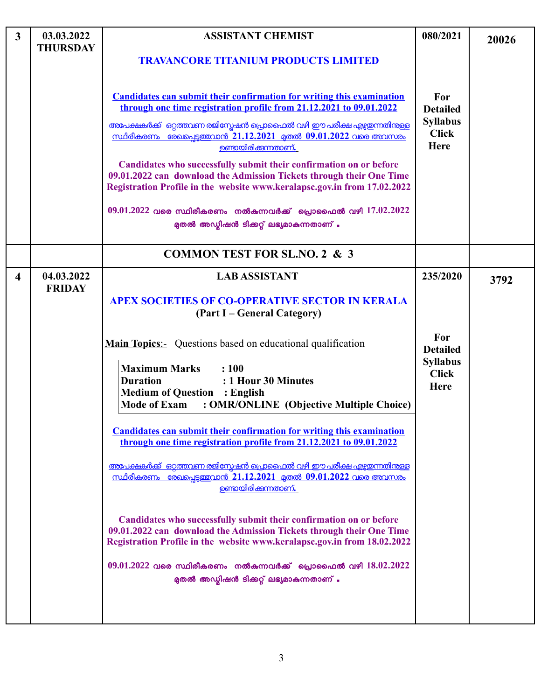| $\overline{3}$          | 03.03.2022<br><b>THURSDAY</b> | <b>ASSISTANT CHEMIST</b><br><b>TRAVANCORE TITANIUM PRODUCTS LIMITED</b>                                                                                                                                                                                                                                                                                                                                                                                                                                                                                                                                                                                                                                                                                                                                                                                                                                                                                                                                                                                           | 080/2021                                                                             | 20026 |
|-------------------------|-------------------------------|-------------------------------------------------------------------------------------------------------------------------------------------------------------------------------------------------------------------------------------------------------------------------------------------------------------------------------------------------------------------------------------------------------------------------------------------------------------------------------------------------------------------------------------------------------------------------------------------------------------------------------------------------------------------------------------------------------------------------------------------------------------------------------------------------------------------------------------------------------------------------------------------------------------------------------------------------------------------------------------------------------------------------------------------------------------------|--------------------------------------------------------------------------------------|-------|
|                         |                               | <b>Candidates can submit their confirmation for writing this examination</b><br>through one time registration profile from 21.12.2021 to 09.01.2022<br><u>അപേക്ഷകർക്ക് ഒറ്റത്തവണ രജിസ്പേഷൻ പ്രൊഫൈൽ വഴി ഈ പരീക്ഷ എഴ്ചതന്നതിനുള്ള</u><br><u>സ്ഥിരീകരണം രേഖപ്പെട്ടത്തവാൻ 21.12.2021 മുതൽ 09.01.2022 വരെ അവസരം</u><br><u>ഉണ്ടായിരിക്കന്നതാണ്.</u><br>Candidates who successfully submit their confirmation on or before<br>09.01.2022 can download the Admission Tickets through their One Time<br>Registration Profile in the website www.keralapsc.gov.in from 17.02.2022<br>$09.01.2022$ വരെ സ്ഥിരീകരണം നൽകുന്നവർക്ക് പ്രൊഫൈൽ വഴി $17.02.2022$<br>മുതൽ അഡ്മിഷൻ ടിക്കറ്റ് ലഭ്യമാകുന്നതാണ് .                                                                                                                                                                                                                                                                                                                                                                         | For<br><b>Detailed</b><br><b>Syllabus</b><br><b>Click</b><br><b>Here</b>             |       |
|                         |                               | <b>COMMON TEST FOR SL.NO. 2 &amp; 3</b>                                                                                                                                                                                                                                                                                                                                                                                                                                                                                                                                                                                                                                                                                                                                                                                                                                                                                                                                                                                                                           |                                                                                      |       |
| $\overline{\mathbf{4}}$ | 04.03.2022<br><b>FRIDAY</b>   | <b>LAB ASSISTANT</b><br><b>APEX SOCIETIES OF CO-OPERATIVE SECTOR IN KERALA</b><br>(Part I – General Category)<br><b>Main Topics:-</b> Questions based on educational qualification<br><b>Maximum Marks</b><br>: 100<br>: 1 Hour 30 Minutes<br><b>Duration</b><br><b>Medium of Question : English</b><br><b>Mode of Exam</b><br>: OMR/ONLINE (Objective Multiple Choice)<br><b>Candidates can submit their confirmation for writing this examination</b><br>through one time registration profile from 21.12.2021 to 09.01.2022<br><u>അപേക്ഷകർക്ക് ഒറ്റത്തവണ രജിസ്പേഷൻ പ്രൊഫൈൽ വഴി ഈ പരീക്ഷ എഴ്ചതന്നതിനുള്ള</u><br><u>സ്ഥിരീകരണം രേഖപെടുത്തവാൻ 21.12.2021 മുതൽ 09.01.2022 വരെ അവസരം</u><br><u>ഉണ്ടായിരിക്കന്നതാണ്.</u><br>Candidates who successfully submit their confirmation on or before<br>09.01.2022 can download the Admission Tickets through their One Time<br>Registration Profile in the website www.keralapsc.gov.in from 18.02.2022<br>$09.01.2022$ വരെ സ്ഥിരീകരണം നൽകുന്നവർക്ക് പ്രൊഫൈൽ വഴി $18.02.2022$<br>മുതൽ അഡ്യിഷൻ ടിക്കറ്റ് ലഭ്യമാകുന്നതാണ് . | 235/2020<br>For<br><b>Detailed</b><br><b>Syllabus</b><br><b>Click</b><br><b>Here</b> | 3792  |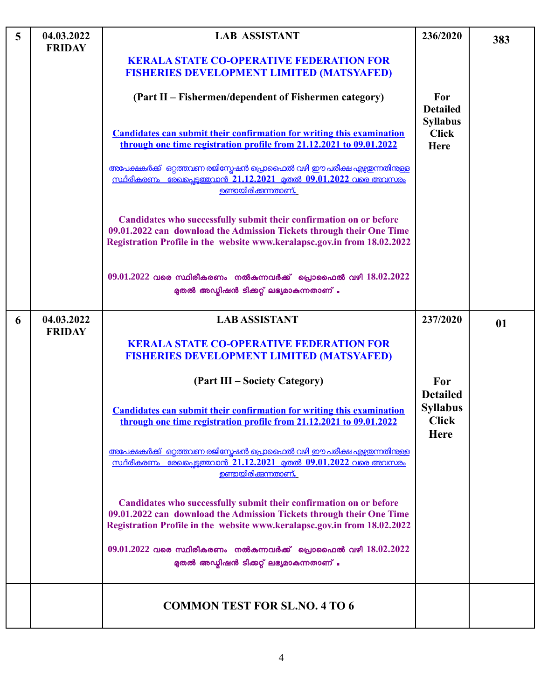| 5 | 04.03.2022<br><b>FRIDAY</b> | <b>LAB ASSISTANT</b>                                                                                                                                                                                                   | 236/2020                                       | 383 |
|---|-----------------------------|------------------------------------------------------------------------------------------------------------------------------------------------------------------------------------------------------------------------|------------------------------------------------|-----|
|   |                             | <b>KERALA STATE CO-OPERATIVE FEDERATION FOR</b><br><b>FISHERIES DEVELOPMENT LIMITED (MATSYAFED)</b>                                                                                                                    |                                                |     |
|   |                             | (Part II – Fishermen/dependent of Fishermen category)                                                                                                                                                                  | For<br><b>Detailed</b>                         |     |
|   |                             | <b>Candidates can submit their confirmation for writing this examination</b><br>through one time registration profile from 21.12.2021 to 09.01.2022                                                                    | <b>Syllabus</b><br><b>Click</b><br><b>Here</b> |     |
|   |                             | <u>അപേക്ഷകർക്ക് ഒറ്റത്തവണ രജിസ്പേഷൻ പ്രൊഫൈൽ വഴി ഈ പരീക്ഷ എഴ്ചതന്നതിനുള്ള</u><br><u>സ്ഥിരീകരണം രേഖപെടുത്തവാൻ 21.12.2021 മുതൽ 09.01.2022 വരെ അവസരം</u><br><b>ഉണ്ടായിരിക്കുന്നതാണ്.</b>                                   |                                                |     |
|   |                             | Candidates who successfully submit their confirmation on or before<br>09.01.2022 can download the Admission Tickets through their One Time<br>Registration Profile in the website www.keralapsc.gov.in from 18.02.2022 |                                                |     |
|   |                             | $09.01.2022$ വരെ സ്ഥിരീകരണം നൽകുന്നവർക്ക് പ്രൊഫൈൽ വഴി $18.02.2022$<br>മുതൽ അഡ്മിഷൻ ടിക്കറ്റ് ലഭ്യമാകുന്നതാണ് .                                                                                                         |                                                |     |
| 6 | 04.03.2022<br><b>FRIDAY</b> | <b>LAB ASSISTANT</b>                                                                                                                                                                                                   | 237/2020                                       | 01  |
|   |                             | <b>KERALA STATE CO-OPERATIVE FEDERATION FOR</b><br><b>FISHERIES DEVELOPMENT LIMITED (MATSYAFED)</b>                                                                                                                    |                                                |     |
|   |                             | (Part III – Society Category)                                                                                                                                                                                          | For<br><b>Detailed</b>                         |     |
|   |                             | <b>Candidates can submit their confirmation for writing this examination</b><br>through one time registration profile from 21.12.2021 to 09.01.2022                                                                    | <b>Syllabus</b><br><b>Click</b><br><b>Here</b> |     |
|   |                             | അപേക്ഷകർക്ക് ഒറ്റത്തവണ രജിസ്കേഷൻ പ്രൊഫൈൽ വഴി ഈ പരീക്ഷ എഴ്ചതന്നതിന്തള്ള<br><u>സ്ഥിരീകരണം രേഖപ്പെട്ടത്തവാൻ 21.12.2021 മുതൽ 09.01.2022 വരെ അവസരം</u><br><u>ഉണ്ടായിരിക്കന്നതാണ്.</u>                                       |                                                |     |
|   |                             | Candidates who successfully submit their confirmation on or before<br>09.01.2022 can download the Admission Tickets through their One Time<br>Registration Profile in the website www.keralapsc.gov.in from 18.02.2022 |                                                |     |
|   |                             | $09.01.2022$ വരെ സ്ഥിരീകരണം നൽകുന്നവർക്ക് പ്രൊഫൈൽ വഴി $18.02.2022$<br>മുതൽ അഡ്യിഷൻ ടിക്കറ്റ് ലഭ്യമാകുന്നതാണ് .                                                                                                         |                                                |     |
|   |                             | <b>COMMON TEST FOR SL.NO. 4 TO 6</b>                                                                                                                                                                                   |                                                |     |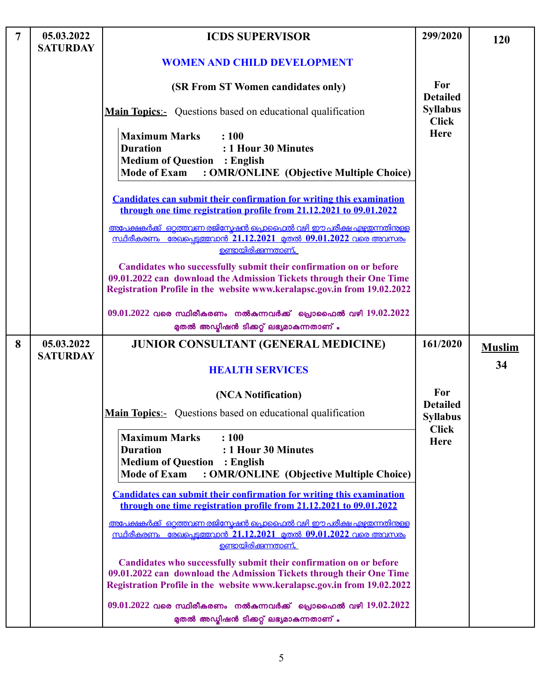| $\overline{7}$ | 05.03.2022<br><b>SATURDAY</b> | <b>ICDS SUPERVISOR</b>                                                                                                                                                                                                 | 299/2020                        | <b>120</b>    |
|----------------|-------------------------------|------------------------------------------------------------------------------------------------------------------------------------------------------------------------------------------------------------------------|---------------------------------|---------------|
|                |                               | <b>WOMEN AND CHILD DEVELOPMENT</b>                                                                                                                                                                                     |                                 |               |
|                |                               | (SR From ST Women candidates only)                                                                                                                                                                                     | For<br><b>Detailed</b>          |               |
|                |                               | <b>Main Topics:</b> Questions based on educational qualification                                                                                                                                                       | <b>Syllabus</b><br><b>Click</b> |               |
|                |                               | <b>Maximum Marks</b><br>: 100<br><b>Duration</b><br>: 1 Hour 30 Minutes<br><b>Medium of Question</b><br>: English<br><b>Mode of Exam</b><br>: OMR/ONLINE (Objective Multiple Choice)                                   | Here                            |               |
|                |                               | <b>Candidates can submit their confirmation for writing this examination</b><br>through one time registration profile from 21.12.2021 to 09.01.2022                                                                    |                                 |               |
|                |                               | അപേക്ഷകർക്ക് ഒറ്റത്തവണ രജിസ്രേഷൻ പ്രൊഫൈൽ വഴി ഈ പരീക്ഷ എഴുതന്നതിന്തള്ള<br><u>സ്ഥിരീകരണം രേഖപെടുത്തവാൻ 21.12.2021 മുതൽ 09.01.2022 വരെ അവസരം</u><br><u>ഉണ്ടായിരിക്കുന്നതാണ്.</u>                                          |                                 |               |
|                |                               | Candidates who successfully submit their confirmation on or before<br>09.01.2022 can download the Admission Tickets through their One Time<br>Registration Profile in the website www.keralapsc.gov.in from 19.02.2022 |                                 |               |
|                |                               | $09.01.2022$ വരെ സ്ഥിരീകരണം നൽകുന്നവർക്ക് പ്രൊഫൈൽ വഴി $19.02.2022$<br>മുതൽ അഡ്യിഷൻ ടിക്കറ്റ് ലഭ്യമാകുന്നതാണ് .                                                                                                         |                                 |               |
| 8              | 05.03.2022<br><b>SATURDAY</b> | <b>JUNIOR CONSULTANT (GENERAL MEDICINE)</b>                                                                                                                                                                            | 161/2020                        | <b>Muslim</b> |
|                |                               | <b>HEALTH SERVICES</b>                                                                                                                                                                                                 |                                 | 34            |
|                |                               | (NCA Notification)                                                                                                                                                                                                     | For<br><b>Detailed</b>          |               |
|                |                               | <b>Main Topics:</b> Questions based on educational qualification                                                                                                                                                       | <b>Syllabus</b><br><b>Click</b> |               |
|                |                               | <b>Maximum Marks</b><br>: 100<br><b>Duration</b><br>: 1 Hour 30 Minutes<br><b>Medium of Question</b><br>: English<br><b>Mode of Exam</b><br>: OMR/ONLINE (Objective Multiple Choice)                                   | <b>Here</b>                     |               |
|                |                               | <b>Candidates can submit their confirmation for writing this examination</b><br>through one time registration profile from 21.12.2021 to 09.01.2022                                                                    |                                 |               |
|                |                               | <u>അപേക്ഷകർക്ക് ഒറ്റത്തവണ രജിസ്പേഷൻ പ്രൊഫൈൽ വഴി ഈ പരീക്ഷ എഴ്ചതന്നതിനുള്ള</u><br><u>സ്ഥിരീകരണം രേഖപ്പെട്ടത്തവാൻ 21.12.2021 മുതൽ 09.01.2022 വരെ അവസരം</u><br><u>ഉണ്ടായിരിക്കുന്നതാണ്.</u>                                |                                 |               |
|                |                               | Candidates who successfully submit their confirmation on or before<br>09.01.2022 can download the Admission Tickets through their One Time<br>Registration Profile in the website www.keralapsc.gov.in from 19.02.2022 |                                 |               |
|                |                               | $09.01.2022$ വരെ സ്ഥിരീകരണം നൽകുന്നവർക്ക് പ്രൊഫൈൽ വഴി $19.02.2022$<br>മുതൽ അഡ്യിഷൻ ടിക്കറ്റ് ലഭ്യമാകുന്നതാണ് .                                                                                                         |                                 |               |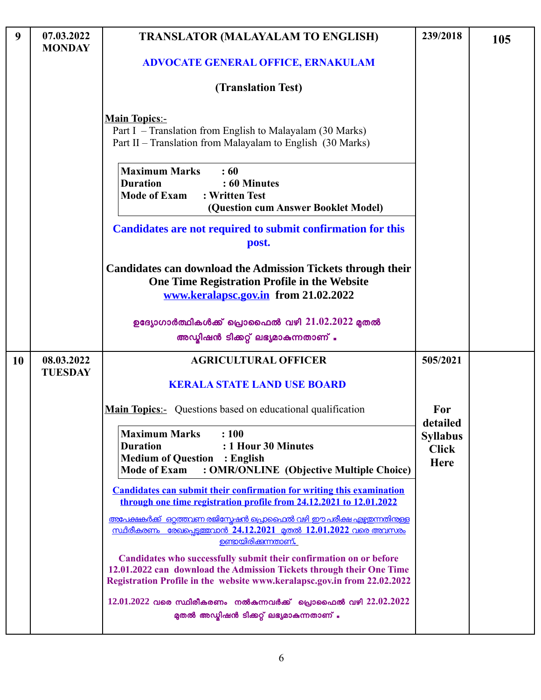| 9         | 07.03.2022<br><b>MONDAY</b>  | <b>TRANSLATOR (MALAYALAM TO ENGLISH)</b>                                                                                                                                                                               | 239/2018                                | 105 |
|-----------|------------------------------|------------------------------------------------------------------------------------------------------------------------------------------------------------------------------------------------------------------------|-----------------------------------------|-----|
|           |                              | <b>ADVOCATE GENERAL OFFICE, ERNAKULAM</b>                                                                                                                                                                              |                                         |     |
|           |                              | (Translation Test)                                                                                                                                                                                                     |                                         |     |
|           |                              | <b>Main Topics:-</b><br>Part I – Translation from English to Malayalam (30 Marks)<br>Part II – Translation from Malayalam to English (30 Marks)                                                                        |                                         |     |
|           |                              | <b>Maximum Marks</b><br>: 60<br><b>Duration</b><br>: 60 Minutes<br><b>Mode of Exam</b><br>: Written Test<br>(Question cum Answer Booklet Model)                                                                        |                                         |     |
|           |                              | Candidates are not required to submit confirmation for this<br>post.                                                                                                                                                   |                                         |     |
|           |                              | <b>Candidates can download the Admission Tickets through their</b><br>One Time Registration Profile in the Website<br>www.keralapsc.gov.in from 21.02.2022                                                             |                                         |     |
|           |                              | ഉദ്യോഗാർത്ഥികൾക്ക് പ്രൊഫൈൽ വഴി $21.02.2022$ മുതൽ<br>അഡ്യിഷൻ ടിക്കറ്റ് ലഭ്യമാകുന്നതാണ് .                                                                                                                                |                                         |     |
| <b>10</b> | 08.03.2022<br><b>TUESDAY</b> | <b>AGRICULTURAL OFFICER</b><br><b>KERALA STATE LAND USE BOARD</b>                                                                                                                                                      | 505/2021                                |     |
|           |                              | <b>Main Topics:</b> Questions based on educational qualification                                                                                                                                                       | For<br>detailed                         |     |
|           |                              | <b>Maximum Marks</b><br>: 100<br><b>Duration</b><br>: 1 Hour 30 Minutes<br><b>Medium of Question</b><br>$:$ English<br>: OMR/ONLINE (Objective Multiple Choice)<br><b>Mode of Exam</b>                                 | <b>Syllabus</b><br><b>Click</b><br>Here |     |
|           |                              | <b>Candidates can submit their confirmation for writing this examination</b><br>through one time registration profile from 24.12.2021 to 12.01.2022                                                                    |                                         |     |
|           |                              | അപേക്ഷകർക്ക് ഒറ്റത്തവണ രജിസ്കേഷൻ പ്രൊഫൈൽ വഴി ഈ പരീക്ഷ എഴ്ചതന്നതിന്തള്ള<br><u>സ്ഥിരീകരണം രേഖപ്പെട്ടത്തവാൻ 24.12.2021 മുതൽ 12.01.2022 വരെ അവസരം</u><br><u>ഉണ്ടായിരിക്കുന്നതാണ്.</u>                                      |                                         |     |
|           |                              | Candidates who successfully submit their confirmation on or before<br>12.01.2022 can download the Admission Tickets through their One Time<br>Registration Profile in the website www.keralapsc.gov.in from 22.02.2022 |                                         |     |
|           |                              | $12.01.2022$ വരെ സ്ഥിരീകരണം നൽകുന്നവർക്ക് പ്രൊഫൈൽ വഴി $22.02.2022$<br>മുതൽ അഡ്യിഷൻ ടിക്കറ്റ് ലഭ്യമാകുന്നതാണ് .                                                                                                         |                                         |     |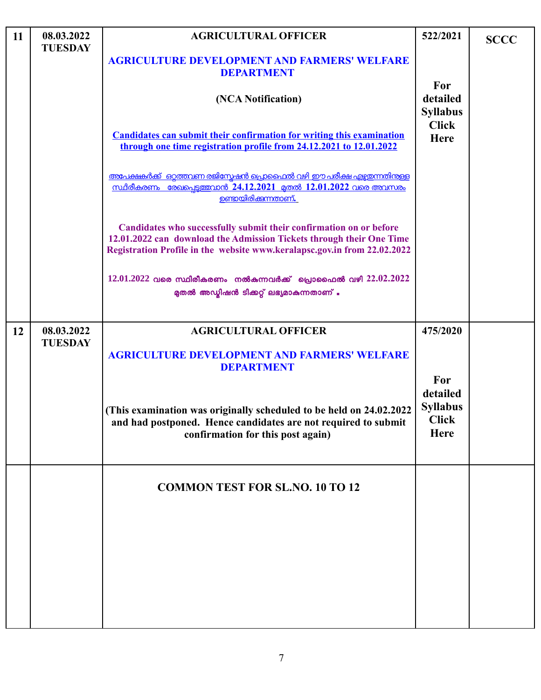| 11 | 08.03.2022<br><b>TUESDAY</b> | <b>AGRICULTURAL OFFICER</b>                                                                                                                                                                                            | 522/2021                                                          | <b>SCCC</b> |
|----|------------------------------|------------------------------------------------------------------------------------------------------------------------------------------------------------------------------------------------------------------------|-------------------------------------------------------------------|-------------|
|    |                              | <b>AGRICULTURE DEVELOPMENT AND FARMERS' WELFARE</b><br><b>DEPARTMENT</b>                                                                                                                                               |                                                                   |             |
|    |                              | (NCA Notification)                                                                                                                                                                                                     | For<br>detailed<br><b>Syllabus</b>                                |             |
|    |                              | <b>Candidates can submit their confirmation for writing this examination</b><br>through one time registration profile from 24.12.2021 to 12.01.2022                                                                    | <b>Click</b><br><b>Here</b>                                       |             |
|    |                              | അപേക്ഷകർക്ക് ഒറ്റത്തവണ രജിസ്കേഷൻ പ്രൊഫൈൽ വഴി ഈ പരീക്ഷ എഴ്ചതന്നതിന്തള്ള<br><u>സ്ഥിരീകരണം രേഖപെടുത്തവാൻ 24.12.2021 മുതൽ 12.01.2022 വരെ അവസരം</u><br><u>ഉണ്ടായിരിക്കന്നതാണ്.</u>                                          |                                                                   |             |
|    |                              | Candidates who successfully submit their confirmation on or before<br>12.01.2022 can download the Admission Tickets through their One Time<br>Registration Profile in the website www.keralapsc.gov.in from 22.02.2022 |                                                                   |             |
|    |                              | $12.01.2022$ വരെ സ്ഥിരീകരണം നൽകുന്നവർക്ക് പ്രൊഫൈൽ വഴി $22.02.2022$<br>മുതൽ അഡ്മിഷൻ ടിക്കറ്റ് ലഭ്യമാകുന്നതാണ് .                                                                                                         |                                                                   |             |
| 12 | 08.03.2022<br><b>TUESDAY</b> | <b>AGRICULTURAL OFFICER</b><br><b>AGRICULTURE DEVELOPMENT AND FARMERS' WELFARE</b>                                                                                                                                     | 475/2020                                                          |             |
|    |                              | <b>DEPARTMENT</b><br>(This examination was originally scheduled to be held on 24.02.2022<br>and had postponed. Hence candidates are not required to submit<br>confirmation for this post again)                        | For<br>detailed<br><b>Syllabus</b><br><b>Click</b><br><b>Here</b> |             |
|    |                              | <b>COMMON TEST FOR SL.NO. 10 TO 12</b>                                                                                                                                                                                 |                                                                   |             |
|    |                              |                                                                                                                                                                                                                        |                                                                   |             |
|    |                              |                                                                                                                                                                                                                        |                                                                   |             |
|    |                              |                                                                                                                                                                                                                        |                                                                   |             |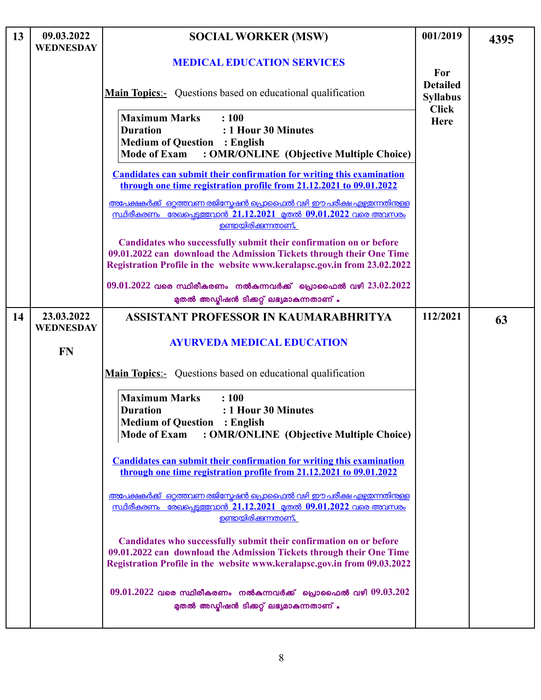| 13 | 09.03.2022<br><b>WEDNESDAY</b> | <b>SOCIAL WORKER (MSW)</b>                                                                                                                                                                                             | 001/2019                                           | 4395 |
|----|--------------------------------|------------------------------------------------------------------------------------------------------------------------------------------------------------------------------------------------------------------------|----------------------------------------------------|------|
|    |                                | <b>MEDICAL EDUCATION SERVICES</b>                                                                                                                                                                                      | For                                                |      |
|    |                                | <b>Main Topics:-</b> Questions based on educational qualification                                                                                                                                                      | <b>Detailed</b><br><b>Syllabus</b><br><b>Click</b> |      |
|    |                                | <b>Maximum Marks</b><br>: 100<br><b>Duration</b><br>: 1 Hour 30 Minutes<br><b>Medium of Question : English</b><br><b>Mode of Exam</b><br>: OMR/ONLINE (Objective Multiple Choice)                                      | Here                                               |      |
|    |                                | <b>Candidates can submit their confirmation for writing this examination</b><br>through one time registration profile from 21.12.2021 to 09.01.2022                                                                    |                                                    |      |
|    |                                | <u>അപേക്ഷകർക്ക് ഒറ്റത്തവണ രജിസ്മേഷൻ പ്രൊഫൈൽ വഴി ഈ പരീക്ഷ എഴുതന്നതിന്തള്ള</u><br><u>സ്ഥിരീകരണം രേഖപ്പെട്ടത്തവാൻ 21.12.2021 മുതൽ 09.01.2022 വരെ അവസരം</u><br>ഉണ്ടായിരിക്കുന്നതാണ്.                                       |                                                    |      |
|    |                                | Candidates who successfully submit their confirmation on or before<br>09.01.2022 can download the Admission Tickets through their One Time<br>Registration Profile in the website www.keralapsc.gov.in from 23.02.2022 |                                                    |      |
|    |                                | $09.01.2022$ വരെ സ്ഥിരീകരണം നൽകുന്നവർക്ക് പ്രൊഫൈൽ വഴി $23.02.2022$<br>മുതൽ അഡ്യിഷൻ ടിക്കറ്റ് ലഭ്യമാകുന്നതാണ് .                                                                                                         |                                                    |      |
| 14 | 23.03.2022<br><b>WEDNESDAY</b> | ASSISTANT PROFESSOR IN KAUMARABHRITYA                                                                                                                                                                                  | 112/2021                                           | 63   |
|    | <b>FN</b>                      | <b>AYURVEDA MEDICAL EDUCATION</b>                                                                                                                                                                                      |                                                    |      |
|    |                                | <b>Main Topics:-</b> Questions based on educational qualification                                                                                                                                                      |                                                    |      |
|    |                                | <b>Maximum Marks</b><br>: 100<br>: 1 Hour 30 Minutes<br><b>Duration</b><br><b>Medium of Question : English</b><br><b>Mode of Exam</b><br>: OMR/ONLINE (Objective Multiple Choice)                                      |                                                    |      |
|    |                                | <b>Candidates can submit their confirmation for writing this examination</b><br>through one time registration profile from 21.12.2021 to 09.01.2022                                                                    |                                                    |      |
|    |                                | അപേക്ഷകർക്ക് ഒറ്റത്തവണ രജിസ്റ്റേഷൻ പ്രൊഫൈൽ വഴി ഈ പരീക്ഷ എഴ്ചയന്നതിന്തള്ള<br><u>സ്ഥിരീകരണം രേഖപ്പെട്ടത്തവാൻ 21.12.2021 മുതൽ 09.01.2022 വരെ അവസരം</u><br><u>ഉണ്ടായിരിക്കന്നതാണ്.</u>                                     |                                                    |      |
|    |                                | Candidates who successfully submit their confirmation on or before<br>09.01.2022 can download the Admission Tickets through their One Time<br>Registration Profile in the website www.keralapsc.gov.in from 09.03.2022 |                                                    |      |
|    |                                | $09.01.2022$ വരെ സ്ഥിരീകരണം നൽകുന്നവർക്ക് പ്രൊഫൈൽ വഴി $09.03.202$<br>മുതൽ അഡ്യിഷൻ ടിക്കറ്റ് ലഭ്യമാകുന്നതാണ് .                                                                                                          |                                                    |      |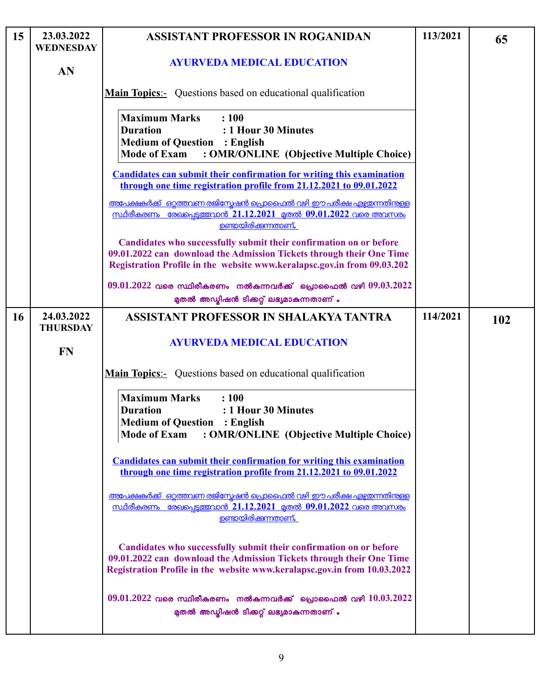| 15 | 23.03.2022<br><b>WEDNESDAY</b> | <b>ASSISTANT PROFESSOR IN ROGANIDAN</b>                                                                                                                                                                                | 113/2021 | 65  |
|----|--------------------------------|------------------------------------------------------------------------------------------------------------------------------------------------------------------------------------------------------------------------|----------|-----|
|    | AN                             | <b>AYURVEDA MEDICAL EDUCATION</b>                                                                                                                                                                                      |          |     |
|    |                                | <b>Main Topics:-</b> Questions based on educational qualification                                                                                                                                                      |          |     |
|    |                                | <b>Maximum Marks</b><br>: 100<br><b>Duration</b><br>: 1 Hour 30 Minutes<br><b>Medium of Question : English</b><br><b>Mode of Exam</b><br>: OMR/ONLINE (Objective Multiple Choice)                                      |          |     |
|    |                                | <b>Candidates can submit their confirmation for writing this examination</b><br>through one time registration profile from 21.12.2021 to 09.01.2022                                                                    |          |     |
|    |                                | അപേക്ഷകർക്ക് ഒറ്റത്തവണ രജിസ്കേഷൻ പ്രൊഫൈൽ വഴി ഈ പരീക്ഷ എഴ്ചഇന്നതിന്റള്ള<br><u>സ്ഥിരീകരണം രേഖപെടുത്തവാൻ 21.12.2021 മുതൽ 09.01.2022 വരെ അവസരം</u><br>ഉണ്ടായിരിക്കുന്നതാണ്.                                                |          |     |
|    |                                | Candidates who successfully submit their confirmation on or before<br>09.01.2022 can download the Admission Tickets through their One Time<br>Registration Profile in the website www.keralapsc.gov.in from 09.03.202  |          |     |
|    |                                | $09.01.2022$ വരെ സ്ഥിരീകരണം നൽകുന്നവർക്ക് പ്രൊഫൈൽ വഴി $09.03.2022$<br>മുതൽ അഡ്മിഷൻ ടിക്കറ്റ് ലഭ്യമാകുന്നതാണ് .                                                                                                         |          |     |
| 16 | 24.03.2022<br><b>THURSDAY</b>  | ASSISTANT PROFESSOR IN SHALAKYA TANTRA                                                                                                                                                                                 | 114/2021 | 102 |
|    | <b>FN</b>                      | <b>AYURVEDA MEDICAL EDUCATION</b>                                                                                                                                                                                      |          |     |
|    |                                | <b>Main Topics:-</b> Questions based on educational qualification                                                                                                                                                      |          |     |
|    |                                | <b>Maximum Marks</b><br>: 100<br><b>Duration</b><br>: 1 Hour 30 Minutes<br><b>Medium of Question : English</b><br>: OMR/ONLINE (Objective Multiple Choice)<br><b>Mode of Exam</b>                                      |          |     |
|    |                                | <b>Candidates can submit their confirmation for writing this examination</b><br>through one time registration profile from 21.12.2021 to 09.01.2022                                                                    |          |     |
|    |                                | <u>അപേക്ഷകർക്ക് ഒറ്റത്തവണ രജിസ്കേഷൻ പ്രൊഫൈൽ വഴി ഈ പരീക്ഷ എഴ്ചതന്നതിന്ള്ള</u><br><u>സ്ഥിരീകരണം രേഖപ്പെട്ടത്തവാൻ 21.12.2021 മുതൽ 09.01.2022 വരെ അവസരം</u><br><u>ഉണ്ടായിരിക്കുന്നതാണ്.</u>                                |          |     |
|    |                                | Candidates who successfully submit their confirmation on or before<br>09.01.2022 can download the Admission Tickets through their One Time<br>Registration Profile in the website www.keralapsc.gov.in from 10.03.2022 |          |     |
|    |                                | $09.01.2022$ വരെ സ്ഥിരീകരണം നൽകുന്നവർക്ക് പ്രൊഫൈൽ വഴി $10.03.2022$<br>മുതൽ അഡ്യിഷൻ ടിക്കറ്റ് ലഭ്യമാകുന്നതാണ് .                                                                                                         |          |     |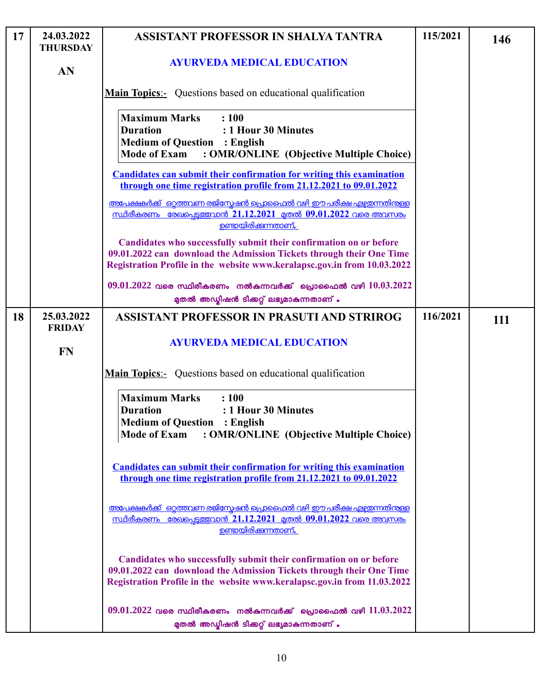| 17 | 24.03.2022<br><b>THURSDAY</b> | ASSISTANT PROFESSOR IN SHALYA TANTRA                                                                                                                                                                                   | 115/2021 | 146 |
|----|-------------------------------|------------------------------------------------------------------------------------------------------------------------------------------------------------------------------------------------------------------------|----------|-----|
|    | AN                            | <b>AYURVEDA MEDICAL EDUCATION</b>                                                                                                                                                                                      |          |     |
|    |                               | <b>Main Topics:-</b> Questions based on educational qualification                                                                                                                                                      |          |     |
|    |                               | <b>Maximum Marks</b><br>: 100<br><b>Duration</b><br>: 1 Hour 30 Minutes<br><b>Medium of Question : English</b><br><b>Mode of Exam</b><br>: OMR/ONLINE (Objective Multiple Choice)                                      |          |     |
|    |                               | <b>Candidates can submit their confirmation for writing this examination</b><br>through one time registration profile from 21.12.2021 to 09.01.2022                                                                    |          |     |
|    |                               | അപേക്ഷകർക്ക് ഒറ്റത്തവണ രജിസ്കേഷൻ പ്രൊഫൈൽ വഴി ഈ പരീക്ഷ എഴ്ചഇന്നതിന്റള്ള<br><u>സ്ഥിരീകരണം രേഖപെട്ടത്തവാൻ 21.12.2021 മുതൽ 09.01.2022 വരെ അവസരം</u><br>ഉണ്ടായിരിക്കുന്നതാണ്.                                               |          |     |
|    |                               | Candidates who successfully submit their confirmation on or before<br>09.01.2022 can download the Admission Tickets through their One Time<br>Registration Profile in the website www.keralapsc.gov.in from 10.03.2022 |          |     |
|    |                               | $09.01.2022$ വരെ സ്ഥിരീകരണം നൽകുന്നവർക്ക് പ്രൊഫൈൽ വഴി $10.03.2022$<br>മുതൽ അഡ്മിഷൻ ടിക്കറ്റ് ലഭ്യമാകുന്നതാണ് .                                                                                                         |          |     |
| 18 | 25.03.2022<br><b>FRIDAY</b>   | <b>ASSISTANT PROFESSOR IN PRASUTI AND STRIROG</b>                                                                                                                                                                      | 116/2021 | 111 |
|    | <b>FN</b>                     | <b>AYURVEDA MEDICAL EDUCATION</b>                                                                                                                                                                                      |          |     |
|    |                               | <b>Main Topics:-</b> Questions based on educational qualification                                                                                                                                                      |          |     |
|    |                               | <b>Maximum Marks</b><br>: 100<br><b>Duration</b><br>: 1 Hour 30 Minutes<br><b>Medium of Question : English</b><br><b>Mode of Exam</b><br>: OMR/ONLINE (Objective Multiple Choice)                                      |          |     |
|    |                               | <b>Candidates can submit their confirmation for writing this examination</b><br>through one time registration profile from 21.12.2021 to 09.01.2022                                                                    |          |     |
|    |                               | <u>അപേക്ഷകർക്ക് ഒറ്റത്തവണ രജിസ്കേഷൻ പ്രൊഫൈൽ വഴി ഈ പരീക്ഷ എഴ്ചതന്നതിന്റള്ള</u><br><u>സ്ഥിരീകരണം രേഖപ്പെട്ടത്തവാൻ 21.12.2021 മുതൽ 09.01.2022 വരെ അവസരം</u><br><u>ഉണ്ടായിരിക്കുന്നതാണ്.</u>                               |          |     |
|    |                               | Candidates who successfully submit their confirmation on or before<br>09.01.2022 can download the Admission Tickets through their One Time<br>Registration Profile in the website www.keralapsc.gov.in from 11.03.2022 |          |     |
|    |                               | $09.01.2022$ വരെ സ്ഥിരീകരണം നൽകുന്നവർക്ക് പ്രൊഫൈൽ വഴി $11.03.2022$<br>മുതൽ അഡ്മിഷൻ ടിക്കറ്റ് ലഭ്യമാകുന്നതാണ് .                                                                                                         |          |     |

 $\lfloor$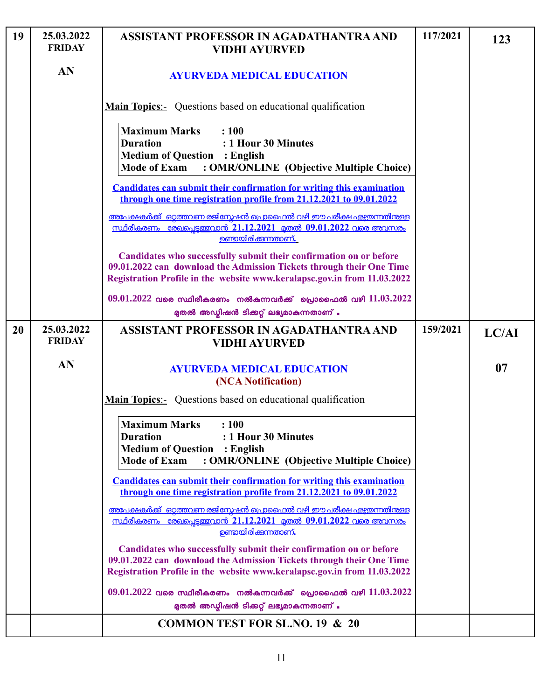| 19 | 25.03.2022<br><b>FRIDAY</b> | ASSISTANT PROFESSOR IN AGADATHANTRA AND<br><b>VIDHI AYURVED</b>                                                                                                                                                        | 117/2021 | 123   |
|----|-----------------------------|------------------------------------------------------------------------------------------------------------------------------------------------------------------------------------------------------------------------|----------|-------|
|    | AN                          | <b>AYURVEDA MEDICAL EDUCATION</b>                                                                                                                                                                                      |          |       |
|    |                             | <b>Main Topics:-</b> Questions based on educational qualification                                                                                                                                                      |          |       |
|    |                             | <b>Maximum Marks</b><br>: 100<br><b>Duration</b><br>: 1 Hour 30 Minutes<br><b>Medium of Question</b><br>$:$ English<br><b>Mode of Exam</b><br>: OMR/ONLINE (Objective Multiple Choice)                                 |          |       |
|    |                             | <b>Candidates can submit their confirmation for writing this examination</b><br>through one time registration profile from 21.12.2021 to 09.01.2022                                                                    |          |       |
|    |                             | അപേക്ഷകർക്ക്  ഒറ്റത്തവണ രജിസ്റ്റേഷൻ പ്രൊഫൈൽ വഴി ഈ പരീക്ഷ എഴ്ചയന്നതിന്തള്ള<br><u>സ്ഥിരീകരണം രേഖപ്പെട്ടത്തവാൻ 21.12.2021 മുതൽ 09.01.2022 വരെ അവസരം</u><br><u>ഉണ്ടായിരിക്കുന്നതാണ്.</u>                                   |          |       |
|    |                             | Candidates who successfully submit their confirmation on or before<br>09.01.2022 can download the Admission Tickets through their One Time<br>Registration Profile in the website www.keralapsc.gov.in from 11.03.2022 |          |       |
|    |                             | $09.01.2022$ വരെ സ്ഥിരീകരണം നൽകുന്നവർക്ക് പ്രൊഫൈൽ വഴി $11.03.2022$<br>മുതൽ അഡ്മിഷൻ ടിക്കറ്റ് ലഭ്യമാകുന്നതാണ് .                                                                                                         |          |       |
| 20 | 25.03.2022<br><b>FRIDAY</b> | ASSISTANT PROFESSOR IN AGADATHANTRA AND<br><b>VIDHI AYURVED</b>                                                                                                                                                        | 159/2021 | LC/AI |
|    | AN                          | <b>AYURVEDA MEDICAL EDUCATION</b><br>(NCA Notification)                                                                                                                                                                |          | 07    |
|    |                             | <b>Main Topics:-</b> Questions based on educational qualification                                                                                                                                                      |          |       |
|    |                             | <b>Maximum Marks : 100</b><br><b>Duration</b><br>: 1 Hour 30 Minutes<br><b>Medium of Question</b><br>$:$ English<br>: OMR/ONLINE (Objective Multiple Choice)<br><b>Mode of Exam</b>                                    |          |       |
|    |                             | <b>Candidates can submit their confirmation for writing this examination</b><br>through one time registration profile from 21.12.2021 to 09.01.2022                                                                    |          |       |
|    |                             | <u>അപേക്ഷകർക്ക് ഒറ്റത്തവണ രജിസ്കേഷൻ പ്രൊഫൈൽ വഴി ഈ പരീക്ഷ എഴ്ചതന്നതിന്ള്ള</u><br><u>സ്ഥിരീകരണം രേഖപ്പെടുത്തവാൻ 21.12.2021 മുതൽ 09.01.2022 വരെ അവസരം</u><br>ഉണ്ടായിരിക്കുന്നതാണ്.                                        |          |       |
|    |                             | Candidates who successfully submit their confirmation on or before<br>09.01.2022 can download the Admission Tickets through their One Time<br>Registration Profile in the website www.keralapsc.gov.in from 11.03.2022 |          |       |
|    |                             | $09.01.2022$ വരെ സ്ഥിരീകരണം നൽകുന്നവർക്ക് പ്രൊഫൈൽ വഴി $11.03.2022$<br>മുതൽ അഡ്യിഷൻ ടിക്കറ്റ് ലഭ്യമാകുന്നതാണ് .                                                                                                         |          |       |
|    |                             | <b>COMMON TEST FOR SL.NO. 19 &amp; 20</b>                                                                                                                                                                              |          |       |

 $\lfloor$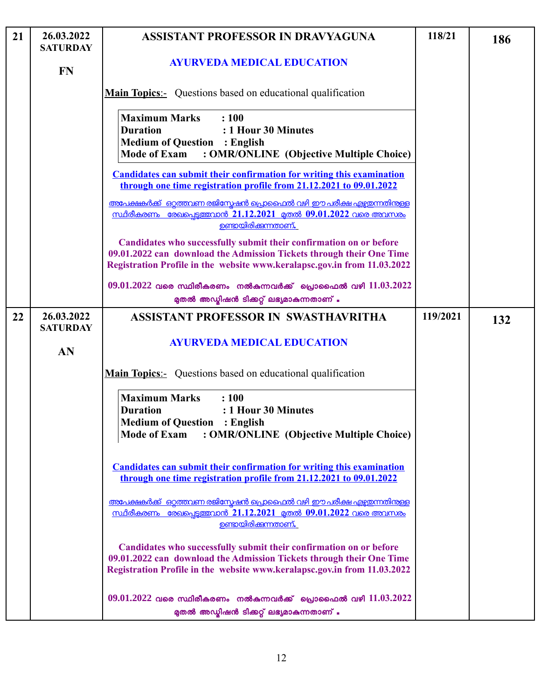| 21 | 26.03.2022<br><b>SATURDAY</b> | <b>ASSISTANT PROFESSOR IN DRAVYAGUNA</b>                                                                                                                                                                               | 118/21   | 186 |
|----|-------------------------------|------------------------------------------------------------------------------------------------------------------------------------------------------------------------------------------------------------------------|----------|-----|
|    | <b>FN</b>                     | <b>AYURVEDA MEDICAL EDUCATION</b>                                                                                                                                                                                      |          |     |
|    |                               | <b>Main Topics:-</b> Questions based on educational qualification                                                                                                                                                      |          |     |
|    |                               | : 100<br><b>Maximum Marks</b><br><b>Duration</b><br>: 1 Hour 30 Minutes<br><b>Medium of Question : English</b><br><b>Mode of Exam</b><br>: OMR/ONLINE (Objective Multiple Choice)                                      |          |     |
|    |                               | <b>Candidates can submit their confirmation for writing this examination</b><br>through one time registration profile from 21.12.2021 to 09.01.2022                                                                    |          |     |
|    |                               | <u>അപേക്ഷകർക്ക് ഒറ്റത്തവണ രജിസ്മേഷൻ പ്രൊഫൈൽ വഴി ഈ പരീക്ഷ എഴ്ചതന്നതിനുള്ള</u><br><u>സ്ഥിരീകരണം രേഖപ്പെട്ടത്തവാൻ 21.12.2021 മുതൽ 09.01.2022 വരെ അവസരം</u><br><u>ഉണ്ടായിരിക്കുന്നതാണ്.</u>                                |          |     |
|    |                               | Candidates who successfully submit their confirmation on or before<br>09.01.2022 can download the Admission Tickets through their One Time<br>Registration Profile in the website www.keralapsc.gov.in from 11.03.2022 |          |     |
|    |                               | $09.01.2022$ വരെ സ്ഥിരീകരണം നൽകുന്നവർക്ക് പ്രൊഫൈൽ വഴി $11.03.2022$<br>മുതൽ അഡ്യിഷൻ ടിക്കറ്റ് ലഭ്യമാകുന്നതാണ് .                                                                                                         |          |     |
| 22 | 26.03.2022<br><b>SATURDAY</b> | ASSISTANT PROFESSOR IN SWASTHAVRITHA                                                                                                                                                                                   | 119/2021 | 132 |
|    | AN                            | <b>AYURVEDA MEDICAL EDUCATION</b>                                                                                                                                                                                      |          |     |
|    |                               | <b>Main Topics:</b> Questions based on educational qualification                                                                                                                                                       |          |     |
|    |                               | <b>Maximum Marks</b><br>: 100<br><b>Duration</b><br>: 1 Hour 30 Minutes<br><b>Medium of Question : English</b><br>: OMR/ONLINE (Objective Multiple Choice)<br><b>Mode of Exam</b>                                      |          |     |
|    |                               | <b>Candidates can submit their confirmation for writing this examination</b><br>through one time registration profile from 21.12.2021 to 09.01.2022                                                                    |          |     |
|    |                               | അപേക്ഷകർക്ക് ഒറ്റത്തവണ രജിസ്രേഷൻ പ്രൊഫൈൽ വഴി ഈ പരീക്ഷ എഴുതന്നതിന്തള്ള<br><u>സ്ഥിരീകരണം രേഖപെടുത്തവാൻ 21.12.2021 മുതൽ 09.01.2022 വരെ അവസരം</u><br><u>ഉണ്ടായിരിക്കന്നതാണ്.</u>                                           |          |     |
|    |                               | Candidates who successfully submit their confirmation on or before<br>09.01.2022 can download the Admission Tickets through their One Time<br>Registration Profile in the website www.keralapsc.gov.in from 11.03.2022 |          |     |
|    |                               | $09.01.2022$ വരെ സ്ഥിരീകരണം നൽകുന്നവർക്ക് പ്രൊഫൈൽ വഴി $11.03.2022$<br>മുതൽ അഡ്മിഷൻ ടിക്കറ്റ് ലഭ്യമാകുന്നതാണ് .                                                                                                         |          |     |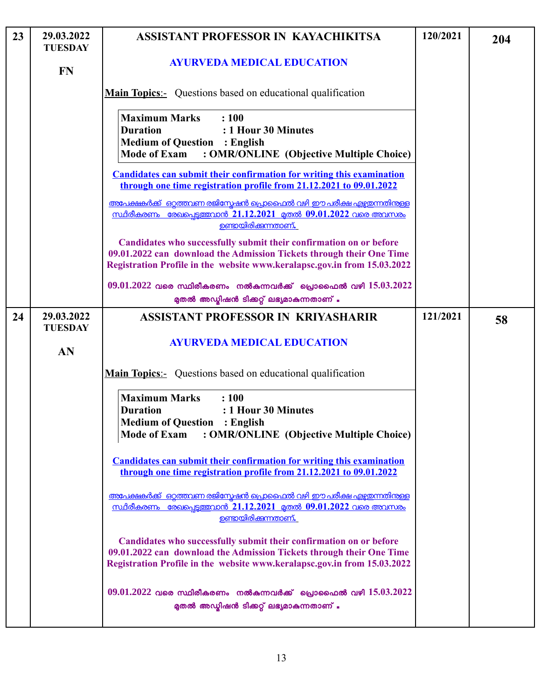| 23 | 29.03.2022<br><b>TUESDAY</b> | ASSISTANT PROFESSOR IN KAYACHIKITSA                                                                                                                                                                                    | 120/2021 | 204 |
|----|------------------------------|------------------------------------------------------------------------------------------------------------------------------------------------------------------------------------------------------------------------|----------|-----|
|    | <b>FN</b>                    | <b>AYURVEDA MEDICAL EDUCATION</b>                                                                                                                                                                                      |          |     |
|    |                              | <b>Main Topics:-</b> Questions based on educational qualification                                                                                                                                                      |          |     |
|    |                              | <b>Maximum Marks</b><br>: 100<br><b>Duration</b><br>: 1 Hour 30 Minutes<br><b>Medium of Question : English</b><br><b>Mode of Exam</b><br>: OMR/ONLINE (Objective Multiple Choice)                                      |          |     |
|    |                              | <b>Candidates can submit their confirmation for writing this examination</b><br>through one time registration profile from 21.12.2021 to 09.01.2022                                                                    |          |     |
|    |                              | അപേക്ഷകർക്ക് ഒറ്റത്തവണ രജിസ്കേഷൻ പ്രൊഫൈൽ വഴി ഈ പരീക്ഷ എഴ്ചയന്നതിനുള്ള<br><u>സ്ഥിരീകരണം രേഖപെടുത്തവാൻ 21.12.2021 മുതൽ 09.01.2022 വരെ അവസരം</u><br><u>ഉണ്ടായിരിക്കുന്നതാണ്.</u>                                          |          |     |
|    |                              | Candidates who successfully submit their confirmation on or before<br>09.01.2022 can download the Admission Tickets through their One Time<br>Registration Profile in the website www.keralapsc.gov.in from 15.03.2022 |          |     |
|    |                              | $09.01.2022$ വരെ സ്ഥിരീകരണം നൽകുന്നവർക്ക് പ്രൊഫൈൽ വഴി $15.03.2022$<br>മുതൽ അഡ്യിഷൻ ടിക്കറ്റ് ലഭ്യമാകുന്നതാണ് .                                                                                                         |          |     |
| 24 | 29.03.2022<br><b>TUESDAY</b> | <b>ASSISTANT PROFESSOR IN KRIYASHARIR</b>                                                                                                                                                                              | 121/2021 | 58  |
|    | AN                           | <b>AYURVEDA MEDICAL EDUCATION</b>                                                                                                                                                                                      |          |     |
|    |                              | <b>Main Topics:</b> Questions based on educational qualification                                                                                                                                                       |          |     |
|    |                              | <b>Maximum Marks</b><br>: 100<br><b>Duration</b><br>: 1 Hour 30 Minutes<br><b>Medium of Question : English</b><br>: OMR/ONLINE (Objective Multiple Choice)<br><b>Mode of Exam</b>                                      |          |     |
|    |                              | <b>Candidates can submit their confirmation for writing this examination</b><br>through one time registration profile from 21.12.2021 to 09.01.2022                                                                    |          |     |
|    |                              | അപേക്ഷകർക്ക് ഒറ്റത്തവണ രജിസ്പേഷൻ പ്രൊഫൈൽ വഴി ഈ പരീക്ഷ എഴ്ചഇന്നതിനുള്ള<br><u>സ്ഥിരീകരണം രേഖപ്പെട്ടത്തവാൻ 21.12.2021 മുതൽ 09.01.2022 വരെ അവസരം</u><br><u>ഉണ്ടായിരിക്കന്നതാണ്.</u>                                        |          |     |
|    |                              | Candidates who successfully submit their confirmation on or before<br>09.01.2022 can download the Admission Tickets through their One Time<br>Registration Profile in the website www.keralapsc.gov.in from 15.03.2022 |          |     |
|    |                              | $09.01.2022$ വരെ സ്ഥിരീകരണം നൽകുന്നവർക്ക് പ്രൊഫൈൽ വഴി $15.03.2022$<br>മുതൽ അഡ്മിഷൻ ടിക്കറ്റ് ലഭ്യമാകുന്നതാണ് .                                                                                                         |          |     |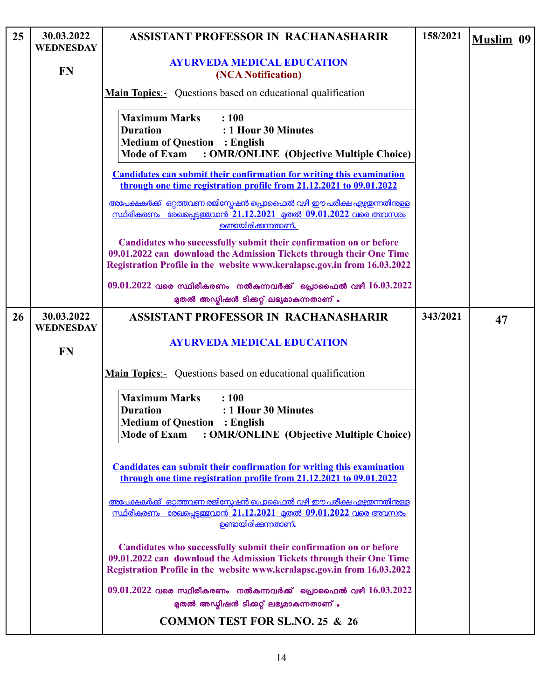| 25 | 30.03.2022<br><b>WEDNESDAY</b> | <b>ASSISTANT PROFESSOR IN RACHANASHARIR</b>                                                                                                                                                                            | 158/2021 | <b>Muslim 09</b> |
|----|--------------------------------|------------------------------------------------------------------------------------------------------------------------------------------------------------------------------------------------------------------------|----------|------------------|
|    | <b>FN</b>                      | <b>AYURVEDA MEDICAL EDUCATION</b><br>(NCA Notification)                                                                                                                                                                |          |                  |
|    |                                | <b>Main Topics:-</b> Questions based on educational qualification                                                                                                                                                      |          |                  |
|    |                                | <b>Maximum Marks</b><br>: 100<br><b>Duration</b><br>: 1 Hour 30 Minutes<br><b>Medium of Question : English</b><br><b>Mode of Exam</b><br>: OMR/ONLINE (Objective Multiple Choice)                                      |          |                  |
|    |                                | <b>Candidates can submit their confirmation for writing this examination</b><br>through one time registration profile from 21.12.2021 to 09.01.2022                                                                    |          |                  |
|    |                                | <u>അപേക്ഷകർക്ക് ഒറ്റത്തവണ രജിസ്റ്റേഷൻ പ്രൊഫൈൽ വഴി ഈ പരീക്ഷ എഴ്ചതന്നതിന്കള്ള</u><br><u>സ്ഥിരീകരണം രേഖപ്പെട്ടത്തവാൻ 21.12.2021 മുതൽ 09.01.2022 വരെ അവസരം</u><br>ഉണ്ടായിരിക്കുന്നതാണ്.                                    |          |                  |
|    |                                | Candidates who successfully submit their confirmation on or before<br>09.01.2022 can download the Admission Tickets through their One Time<br>Registration Profile in the website www.keralapsc.gov.in from 16.03.2022 |          |                  |
|    |                                | $09.01.2022$ വരെ സ്ഥിരീകരണം നൽകുന്നവർക്ക് പ്രൊഫൈൽ വഴി $16.03.2022$<br>മുതൽ അഡ്യിഷൻ ടിക്കറ്റ് ലഭ്യമാകുന്നതാണ് .                                                                                                         |          |                  |
| 26 | 30.03.2022<br><b>WEDNESDAY</b> | <b>ASSISTANT PROFESSOR IN RACHANASHARIR</b>                                                                                                                                                                            | 343/2021 | 47               |
|    | <b>FN</b>                      | <b>AYURVEDA MEDICAL EDUCATION</b>                                                                                                                                                                                      |          |                  |
|    |                                | <b>Main Topics:</b> Questions based on educational qualification                                                                                                                                                       |          |                  |
|    |                                | <b>Maximum Marks</b><br>: 100<br><b>Duration</b><br>: 1 Hour 30 Minutes<br><b>Medium of Question : English</b><br><b>Mode of Exam</b><br>: OMR/ONLINE (Objective Multiple Choice)                                      |          |                  |
|    |                                | <b>Candidates can submit their confirmation for writing this examination</b><br>through one time registration profile from 21.12.2021 to 09.01.2022                                                                    |          |                  |
|    |                                | <u>അപേക്ഷകർക്ക് ഒറ്റത്തവണ രജിസ്കേഷൻ പ്രൊഫൈൽ വഴി ഈ പരീക്ഷ എഴ്ചതന്നതിന്ള്ള</u><br><u>സ്ഥിരീകരണം രേഖപെടുത്തവാൻ 21.12.2021 മുതൽ 09.01.2022 വരെ അവസരം</u><br>ഉണ്ടായിരിക്കുന്നതാണ്.                                          |          |                  |
|    |                                | Candidates who successfully submit their confirmation on or before<br>09.01.2022 can download the Admission Tickets through their One Time<br>Registration Profile in the website www.keralapsc.gov.in from 16.03.2022 |          |                  |
|    |                                | $09.01.2022$ വരെ സ്ഥിരീകരണം നൽകുന്നവർക്ക് പ്രൊഫൈൽ വഴി $16.03.2022$<br>മുതൽ അഡ്മിഷൻ ടിക്കറ്റ് ലഭ്യമാകുന്നതാണ് .                                                                                                         |          |                  |
|    |                                | <b>COMMON TEST FOR SL.NO. 25 &amp; 26</b>                                                                                                                                                                              |          |                  |

 $\lfloor$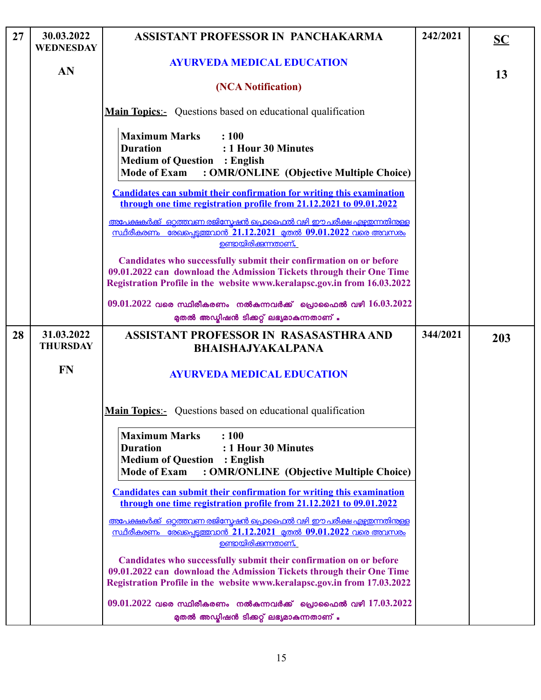| 27 | 30.03.2022<br><b>WEDNESDAY</b> | ASSISTANT PROFESSOR IN PANCHAKARMA                                                                                                                                                                                     | 242/2021 | $\overline{\mathbf{SC}}$ |
|----|--------------------------------|------------------------------------------------------------------------------------------------------------------------------------------------------------------------------------------------------------------------|----------|--------------------------|
|    | AN                             | <b>AYURVEDA MEDICAL EDUCATION</b>                                                                                                                                                                                      |          | 13                       |
|    |                                | (NCA Notification)                                                                                                                                                                                                     |          |                          |
|    |                                | <b>Main Topics:-</b> Questions based on educational qualification                                                                                                                                                      |          |                          |
|    |                                | <b>Maximum Marks</b><br>: 100<br><b>Duration</b><br>: 1 Hour 30 Minutes<br><b>Medium of Question : English</b><br><b>Mode of Exam</b><br>: OMR/ONLINE (Objective Multiple Choice)                                      |          |                          |
|    |                                | <b>Candidates can submit their confirmation for writing this examination</b><br>through one time registration profile from 21.12.2021 to 09.01.2022                                                                    |          |                          |
|    |                                | അപേക്ഷകർക്ക് ഒറ്റത്തവണ രജിസ്നേഷൻ പ്രൊഫൈൽ വഴി ഈ പരീക്ഷ എഴ്ചയന്നതിന്തള്ള<br><u>സ്ഥിരീകരണം രേഖപ്പെട്ടത്തവാൻ 21.12.2021 മുതൽ 09.01.2022 വരെ അവസരം</u><br><u>ഉണ്ടായിരിക്കന്നതാണ്.</u>                                       |          |                          |
|    |                                | Candidates who successfully submit their confirmation on or before<br>09.01.2022 can download the Admission Tickets through their One Time<br>Registration Profile in the website www.keralapsc.gov.in from 16.03.2022 |          |                          |
|    |                                | $09.01.2022$ വരെ സ്ഥിരീകരണം നൽകുന്നവർക്ക് പ്രൊഫൈൽ വഴി $16.03.2022$<br>മുതൽ അഡ്മിഷൻ ടിക്കറ്റ് ലഭ്യമാകുന്നതാണ് .                                                                                                         |          |                          |
| 28 | 31.03.2022<br><b>THURSDAY</b>  | ASSISTANT PROFESSOR IN RASASASTHRA AND<br><b>BHAISHAJYAKALPANA</b>                                                                                                                                                     | 344/2021 | 203                      |
|    | <b>FN</b>                      | <b>AYURVEDA MEDICAL EDUCATION</b>                                                                                                                                                                                      |          |                          |
|    |                                | <b>Main Topics:</b> Questions based on educational qualification                                                                                                                                                       |          |                          |
|    |                                | <b>Maximum Marks</b><br>: 100<br><b>Duration</b><br>: 1 Hour 30 Minutes<br><b>Medium of Question : English</b><br><b>Mode of Exam</b><br>: OMR/ONLINE (Objective Multiple Choice)                                      |          |                          |
|    |                                | <b>Candidates can submit their confirmation for writing this examination</b><br>through one time registration profile from 21.12.2021 to 09.01.2022                                                                    |          |                          |
|    |                                | അപേക്ഷകർക്ക് ഒറ്റത്തവണ രജിസ്രേഷൻ പ്രൊഫൈൽ വഴി ഈ പരീക്ഷ എഴുതന്നതിന്തള്ള<br><u>സ്ഥിരീകരണം രേഖപ്പെട്ടത്തവാൻ 21.12.2021 മുതൽ 09.01.2022 വരെ അവസരം</u><br><u>ഉണ്ടായിരിക്കുന്നതാണ്.</u>                                       |          |                          |
|    |                                | Candidates who successfully submit their confirmation on or before<br>09.01.2022 can download the Admission Tickets through their One Time<br>Registration Profile in the website www.keralapsc.gov.in from 17.03.2022 |          |                          |
|    |                                | $09.01.2022$ വരെ സ്ഥിരീകരണം നൽകുന്നവർക്ക് പ്രൊഫൈൽ വഴി $17.03.2022$<br>മുതൽ അഡ്യിഷൻ ടിക്കറ്റ് ലഭ്യമാകുന്നതാണ് .                                                                                                         |          |                          |